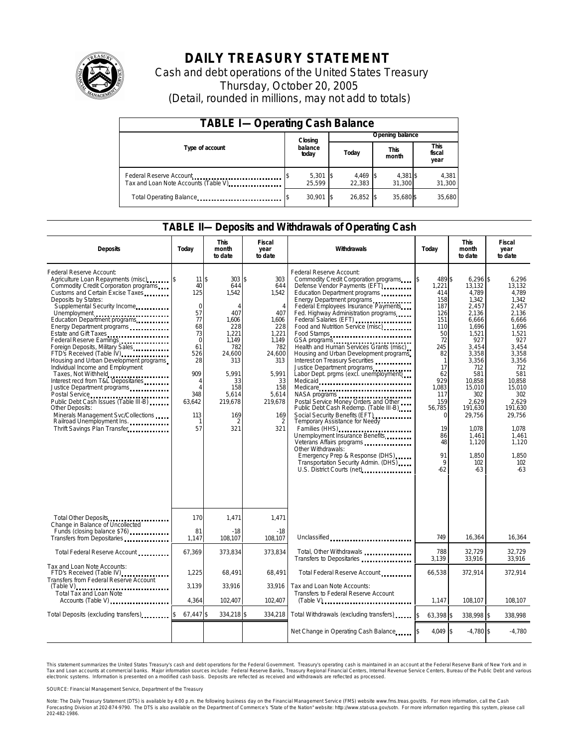

## **DAILY TREASURY STATEMENT**

Cash and debt operations of the United States Treasury Thursday, October 20, 2005 (Detail, rounded in millions, may not add to totals)

| <b>TABLE I-Operating Cash Balance</b>                            |                  |                      |  |                 |  |                      |  |                               |  |
|------------------------------------------------------------------|------------------|----------------------|--|-----------------|--|----------------------|--|-------------------------------|--|
|                                                                  |                  | Closing              |  | Opening balance |  |                      |  |                               |  |
| Type of account                                                  | balance<br>today |                      |  | Today           |  | <b>This</b><br>month |  | <b>This</b><br>fiscal<br>year |  |
| Federal Reserve Account<br>Tax and Loan Note Accounts (Table V). |                  | $5,301$ \$<br>25.599 |  | 4,469<br>22.383 |  | 4,381 \$<br>31.300   |  | 4,381<br>31,300               |  |
| Total Operating Balance                                          |                  | $30.901$ S           |  | 26.852 \$       |  | 35,680 \$            |  | 35,680                        |  |

#### **TABLE II—Deposits and Withdrawals of Operating Cash**

| <b>Deposits</b>                                                                                                                                                                                                                                                                                                                                                                                                                                                                                                                                                                                                                                                                                                         | Today                                                                                                                                                                                | <b>This</b><br>month<br>to date                                                                                                                                                   | Fiscal<br>year<br>to date                                                                                                                                           | Withdrawals                                                                                                                                                                                                                                                                                                                                                                                                                                                                                                                                                                                                                                                                                                                                                                                                                                                                                                                                                                          | Today                                                                                                                                                                                                                     | <b>This</b><br>month<br>to date                                                                                                                                                                                                                  | <b>Fiscal</b><br>year<br>to date                                                                                                                                                                                                            |
|-------------------------------------------------------------------------------------------------------------------------------------------------------------------------------------------------------------------------------------------------------------------------------------------------------------------------------------------------------------------------------------------------------------------------------------------------------------------------------------------------------------------------------------------------------------------------------------------------------------------------------------------------------------------------------------------------------------------------|--------------------------------------------------------------------------------------------------------------------------------------------------------------------------------------|-----------------------------------------------------------------------------------------------------------------------------------------------------------------------------------|---------------------------------------------------------------------------------------------------------------------------------------------------------------------|--------------------------------------------------------------------------------------------------------------------------------------------------------------------------------------------------------------------------------------------------------------------------------------------------------------------------------------------------------------------------------------------------------------------------------------------------------------------------------------------------------------------------------------------------------------------------------------------------------------------------------------------------------------------------------------------------------------------------------------------------------------------------------------------------------------------------------------------------------------------------------------------------------------------------------------------------------------------------------------|---------------------------------------------------------------------------------------------------------------------------------------------------------------------------------------------------------------------------|--------------------------------------------------------------------------------------------------------------------------------------------------------------------------------------------------------------------------------------------------|---------------------------------------------------------------------------------------------------------------------------------------------------------------------------------------------------------------------------------------------|
| Federal Reserve Account:<br>Agriculture Loan Repayments (misc)<br>Commodity Credit Corporation programs<br>Customs and Certain Excise Taxes<br>Deposits by States:<br>Supplemental Security Income<br>Unemployment<br>Education Department programs<br>Energy Department programs<br>Estate and Gift Taxes<br><br>Federal Reserve Earnings<br>Foreign Deposits, Military Sales<br>FTD's Received (Table IV)<br>Housing and Urban Development programs<br>Individual Income and Employment<br>Taxes, Not Withheld<br>Interest recd from T&L Depositaries<br>Justice Department programs<br>Public Debt Cash Issues (Table III-B)<br>Other Deposits:<br>Minerals Management Svc/Collections<br>Railroad Unemployment Ins. | 11 <sup>5</sup><br>40<br>125<br>$\mathbf 0$<br>57<br>77<br>68<br>73<br>$\mathbf 0$<br>61<br>526<br>28<br>909<br>$\overline{A}$<br>$\overline{A}$<br>348<br>63,642<br>113<br>-1<br>57 | 303S<br>644<br>1,542<br>$\overline{A}$<br>407<br>1,606<br>228<br>1.221<br>1.149<br>782<br>24,600<br>313<br>5.991<br>33<br>158<br>5,614<br>219,678<br>169<br>$\overline{2}$<br>321 | 303<br>644<br>1,542<br>$\overline{4}$<br>407<br>1,606<br>228<br>1.221<br>1,149<br>782<br>24,600<br>313<br>5.991<br>33<br>158<br>5,614<br>219,678<br>169<br>2<br>321 | Federal Reserve Account:<br>Commodity Credit Corporation programs<br>Defense Vendor Payments (EFT)<br>Education Department programs<br>Energy Department programs<br>Federal Employees Insurance Payments<br>Fed. Highway Administration programs<br>Federal Salaries (EFT)<br>Federal Salaries (EFT)<br>Food and Nutrition Service (misc)<br>Food Stamps<br>GSA programs<br>Health and Human Services Grants (misc)<br>Housing and Urban Development programs<br>Interest on Treasury Securities<br>Justice Department programs<br>Labor Dept. prgms (excl. unemployment)<br>Medicaid<br>Medicare<br>Postal Service Money Orders and Other<br>Public Debt Cash Redemp. (Table III-B)<br>Social Security Benefits (EFT)<br>Temporary Assistance for Needy<br>Families (HHS)<br>Unemployment Insurance Benefits<br>Other Withdrawals:<br>Emergency Prep & Response (DHS)<br>Transportation Security Admin. (DHS)<br>U.S. District Courts (net) <b>[19]</b> U.S. District Courts (net) | 489 \$<br>ß.<br>1,221<br>414<br>158<br>187<br>126<br>151<br>110<br>50<br>72<br>245<br>82<br>$\mathbf{1}$<br>17<br>62<br>929<br>1,083<br>117<br>159<br>56,785<br>$\Omega$<br>19<br>86<br>48<br>91<br>$\mathsf{Q}$<br>$-62$ | $6,296$ \$<br>13,132<br>4.789<br>1.342<br>2,457<br>2,136<br>6,666<br>1,696<br>1.521<br>927<br>3.454<br>3,358<br>3,356<br>712<br>581<br>10.858<br>15,010<br>302<br>2,629<br>191,630<br>29,756<br>1,078<br>1,461<br>1,120<br>1.850<br>102<br>$-63$ | 6,296<br>13.132<br>4.789<br>1.342<br>2,457<br>2,136<br>6,666<br>1,696<br>1.521<br>927<br>3.454<br>3,358<br>3.356<br>712<br>581<br>10.858<br>15,010<br>302<br>2.629<br>191.630<br>29,756<br>1.078<br>1,461<br>1.120<br>1.850<br>102<br>$-63$ |
| Total Other Deposits<br>Change in Balance of Uncollected<br>Funds (closing balance \$76)                                                                                                                                                                                                                                                                                                                                                                                                                                                                                                                                                                                                                                | 170<br>81                                                                                                                                                                            | 1,471<br>$-18$                                                                                                                                                                    | 1,471<br>$-18$                                                                                                                                                      |                                                                                                                                                                                                                                                                                                                                                                                                                                                                                                                                                                                                                                                                                                                                                                                                                                                                                                                                                                                      |                                                                                                                                                                                                                           |                                                                                                                                                                                                                                                  |                                                                                                                                                                                                                                             |
| Transfers from Depositaries                                                                                                                                                                                                                                                                                                                                                                                                                                                                                                                                                                                                                                                                                             | 1,147                                                                                                                                                                                | 108,107                                                                                                                                                                           | 108,107                                                                                                                                                             | Unclassified                                                                                                                                                                                                                                                                                                                                                                                                                                                                                                                                                                                                                                                                                                                                                                                                                                                                                                                                                                         | 749                                                                                                                                                                                                                       | 16.364                                                                                                                                                                                                                                           | 16,364                                                                                                                                                                                                                                      |
| Total Federal Reserve Account                                                                                                                                                                                                                                                                                                                                                                                                                                                                                                                                                                                                                                                                                           | 67,369                                                                                                                                                                               | 373,834                                                                                                                                                                           | 373.834                                                                                                                                                             | Total, Other Withdrawals<br>Transfers to Depositaries                                                                                                                                                                                                                                                                                                                                                                                                                                                                                                                                                                                                                                                                                                                                                                                                                                                                                                                                | 788<br>3,139                                                                                                                                                                                                              | 32,729<br>33,916                                                                                                                                                                                                                                 | 32,729<br>33,916                                                                                                                                                                                                                            |
| Tax and Loan Note Accounts:<br>FTD's Received (Table IV)<br>Transfers from Federal Reserve Account                                                                                                                                                                                                                                                                                                                                                                                                                                                                                                                                                                                                                      | 1.225                                                                                                                                                                                | 68,491                                                                                                                                                                            | 68.491                                                                                                                                                              | Total Federal Reserve Account                                                                                                                                                                                                                                                                                                                                                                                                                                                                                                                                                                                                                                                                                                                                                                                                                                                                                                                                                        | 66.538                                                                                                                                                                                                                    | 372.914                                                                                                                                                                                                                                          | 372.914                                                                                                                                                                                                                                     |
| $(Table V)$<br>Total Tax and Loan Note                                                                                                                                                                                                                                                                                                                                                                                                                                                                                                                                                                                                                                                                                  | 3,139                                                                                                                                                                                | 33,916                                                                                                                                                                            | 33,916                                                                                                                                                              | Tax and Loan Note Accounts:<br>Transfers to Federal Reserve Account                                                                                                                                                                                                                                                                                                                                                                                                                                                                                                                                                                                                                                                                                                                                                                                                                                                                                                                  |                                                                                                                                                                                                                           |                                                                                                                                                                                                                                                  |                                                                                                                                                                                                                                             |
| Accounts (Table V)                                                                                                                                                                                                                                                                                                                                                                                                                                                                                                                                                                                                                                                                                                      | 4,364                                                                                                                                                                                | 102,407                                                                                                                                                                           | 102,407                                                                                                                                                             | $(Table V)$                                                                                                                                                                                                                                                                                                                                                                                                                                                                                                                                                                                                                                                                                                                                                                                                                                                                                                                                                                          | 1,147                                                                                                                                                                                                                     | 108,107                                                                                                                                                                                                                                          | 108,107                                                                                                                                                                                                                                     |
| Total Deposits (excluding transfers)                                                                                                                                                                                                                                                                                                                                                                                                                                                                                                                                                                                                                                                                                    | 67,447 \$                                                                                                                                                                            | 334,218 \$                                                                                                                                                                        | 334,218                                                                                                                                                             | Total Withdrawals (excluding transfers)                                                                                                                                                                                                                                                                                                                                                                                                                                                                                                                                                                                                                                                                                                                                                                                                                                                                                                                                              | 63,398 \$<br>ß.                                                                                                                                                                                                           | 338,998 \$                                                                                                                                                                                                                                       | 338,998                                                                                                                                                                                                                                     |
|                                                                                                                                                                                                                                                                                                                                                                                                                                                                                                                                                                                                                                                                                                                         |                                                                                                                                                                                      |                                                                                                                                                                                   |                                                                                                                                                                     | Net Change in Operating Cash Balance                                                                                                                                                                                                                                                                                                                                                                                                                                                                                                                                                                                                                                                                                                                                                                                                                                                                                                                                                 | 4.049 \$                                                                                                                                                                                                                  | $-4.780$ \$                                                                                                                                                                                                                                      | $-4.780$                                                                                                                                                                                                                                    |

This statement summarizes the United States Treasury's cash and debt operations for the Federal Government. Treasury's operating cash is maintained in an account at the Federal Reserve Bank of New York and in Tax and Loan accounts at commercial banks. Major information sources include: Federal Reserve Banks, Treasury Regional Financial Centers, Internal Revenue Service Centers, Bureau of the Public Debt and various<br>electronic s

SOURCE: Financial Management Service, Department of the Treasury

Note: The Daily Treasury Statement (DTS) is available by 4:00 p.m. the following business day on the Financial Management Service (FMS) website www.fms.treas.gov/dts. For more information, call the Cash<br>Forecasting Divisio 'S) is available by 4:00 p.m. the following business day on the Financial Management Service (FMS) website www.fms.treas.gov/dts. For more information, call the Cash<br>The DTS is also available on the Department of Commerce'